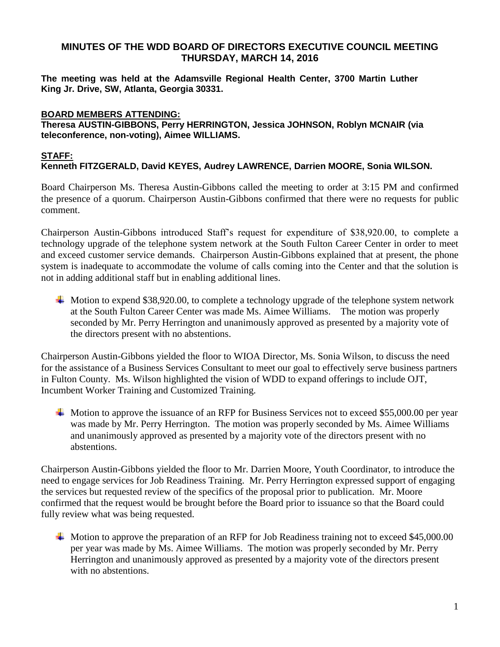# **MINUTES OF THE WDD BOARD OF DIRECTORS EXECUTIVE COUNCIL MEETING THURSDAY, MARCH 14, 2016**

**The meeting was held at the Adamsville Regional Health Center, 3700 Martin Luther King Jr. Drive, SW, Atlanta, Georgia 30331.** 

### **BOARD MEMBERS ATTENDING:**

**Theresa AUSTIN-GIBBONS, Perry HERRINGTON, Jessica JOHNSON, Roblyn MCNAIR (via teleconference, non-voting), Aimee WILLIAMS.**

#### **STAFF: Kenneth FITZGERALD, David KEYES, Audrey LAWRENCE, Darrien MOORE, Sonia WILSON.**

Board Chairperson Ms. Theresa Austin-Gibbons called the meeting to order at 3:15 PM and confirmed the presence of a quorum. Chairperson Austin-Gibbons confirmed that there were no requests for public comment.

Chairperson Austin-Gibbons introduced Staff's request for expenditure of \$38,920.00, to complete a technology upgrade of the telephone system network at the South Fulton Career Center in order to meet and exceed customer service demands. Chairperson Austin-Gibbons explained that at present, the phone system is inadequate to accommodate the volume of calls coming into the Center and that the solution is not in adding additional staff but in enabling additional lines.

 $\blacktriangle$  Motion to expend \$38,920.00, to complete a technology upgrade of the telephone system network at the South Fulton Career Center was made Ms. Aimee Williams. The motion was properly seconded by Mr. Perry Herrington and unanimously approved as presented by a majority vote of the directors present with no abstentions.

Chairperson Austin-Gibbons yielded the floor to WIOA Director, Ms. Sonia Wilson, to discuss the need for the assistance of a Business Services Consultant to meet our goal to effectively serve business partners in Fulton County. Ms. Wilson highlighted the vision of WDD to expand offerings to include OJT, Incumbent Worker Training and Customized Training.

 $\text{4}$  Motion to approve the issuance of an RFP for Business Services not to exceed \$55,000.00 per year was made by Mr. Perry Herrington. The motion was properly seconded by Ms. Aimee Williams and unanimously approved as presented by a majority vote of the directors present with no abstentions.

Chairperson Austin-Gibbons yielded the floor to Mr. Darrien Moore, Youth Coordinator, to introduce the need to engage services for Job Readiness Training. Mr. Perry Herrington expressed support of engaging the services but requested review of the specifics of the proposal prior to publication. Mr. Moore confirmed that the request would be brought before the Board prior to issuance so that the Board could fully review what was being requested.

Motion to approve the preparation of an RFP for Job Readiness training not to exceed \$45,000.00 per year was made by Ms. Aimee Williams. The motion was properly seconded by Mr. Perry Herrington and unanimously approved as presented by a majority vote of the directors present with no abstentions.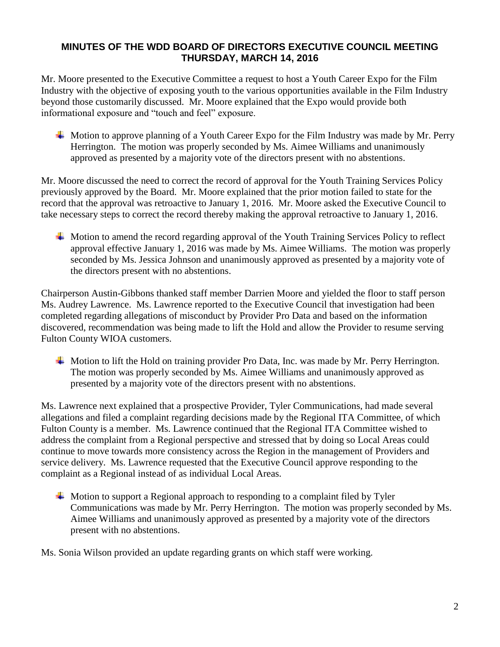# **MINUTES OF THE WDD BOARD OF DIRECTORS EXECUTIVE COUNCIL MEETING THURSDAY, MARCH 14, 2016**

Mr. Moore presented to the Executive Committee a request to host a Youth Career Expo for the Film Industry with the objective of exposing youth to the various opportunities available in the Film Industry beyond those customarily discussed. Mr. Moore explained that the Expo would provide both informational exposure and "touch and feel" exposure.

 $\perp$  Motion to approve planning of a Youth Career Expo for the Film Industry was made by Mr. Perry Herrington. The motion was properly seconded by Ms. Aimee Williams and unanimously approved as presented by a majority vote of the directors present with no abstentions.

Mr. Moore discussed the need to correct the record of approval for the Youth Training Services Policy previously approved by the Board. Mr. Moore explained that the prior motion failed to state for the record that the approval was retroactive to January 1, 2016. Mr. Moore asked the Executive Council to take necessary steps to correct the record thereby making the approval retroactive to January 1, 2016.

Motion to amend the record regarding approval of the Youth Training Services Policy to reflect approval effective January 1, 2016 was made by Ms. Aimee Williams. The motion was properly seconded by Ms. Jessica Johnson and unanimously approved as presented by a majority vote of the directors present with no abstentions.

Chairperson Austin-Gibbons thanked staff member Darrien Moore and yielded the floor to staff person Ms. Audrey Lawrence. Ms. Lawrence reported to the Executive Council that investigation had been completed regarding allegations of misconduct by Provider Pro Data and based on the information discovered, recommendation was being made to lift the Hold and allow the Provider to resume serving Fulton County WIOA customers.

 $\overline{\phantom{a}}$  Motion to lift the Hold on training provider Pro Data, Inc. was made by Mr. Perry Herrington. The motion was properly seconded by Ms. Aimee Williams and unanimously approved as presented by a majority vote of the directors present with no abstentions.

Ms. Lawrence next explained that a prospective Provider, Tyler Communications, had made several allegations and filed a complaint regarding decisions made by the Regional ITA Committee, of which Fulton County is a member. Ms. Lawrence continued that the Regional ITA Committee wished to address the complaint from a Regional perspective and stressed that by doing so Local Areas could continue to move towards more consistency across the Region in the management of Providers and service delivery. Ms. Lawrence requested that the Executive Council approve responding to the complaint as a Regional instead of as individual Local Areas.

 $\overline{\phantom{a}}$  Motion to support a Regional approach to responding to a complaint filed by Tyler Communications was made by Mr. Perry Herrington. The motion was properly seconded by Ms. Aimee Williams and unanimously approved as presented by a majority vote of the directors present with no abstentions.

Ms. Sonia Wilson provided an update regarding grants on which staff were working.